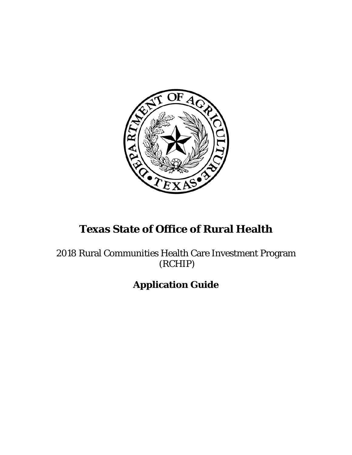

# **Texas State of Office of Rural Health**

2018 Rural Communities Health Care Investment Program (RCHIP)

**Application Guide**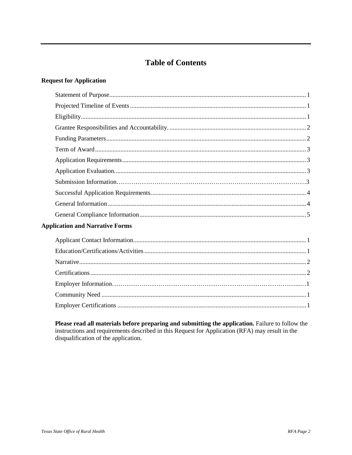## **Table of Contents**

#### **Request for Application**

### **Application and Narrative Forms**

Please read all materials before preparing and submitting the application. Failure to follow the instructions and requirements described in this Request for Application (RFA) may result in the disqualification of the application.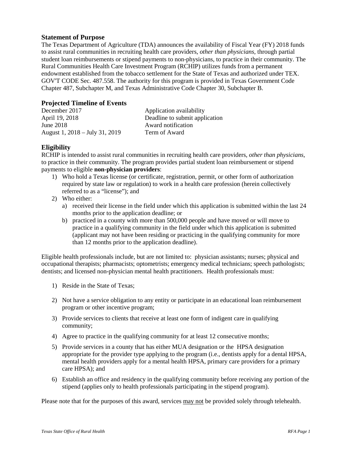#### <span id="page-2-0"></span>**Statement of Purpose**

The Texas Department of Agriculture (TDA) announces the availability of Fiscal Year (FY) 2018 funds to assist rural communities in recruiting health care providers, *other than physicians*, through partial student loan reimbursements or stipend payments to non-physicians, to practice in their community. The Rural Communities Health Care Investment Program (RCHIP) utilizes funds from a permanent endowment established from the tobacco settlement for the State of Texas and authorized under TEX. GOV'T CODE Sec. 487.558. The authority for this program is provided in Texas Government Code Chapter 487, Subchapter M, and Texas Administrative Code Chapter 30, Subchapter B.

#### <span id="page-2-1"></span>**Projected Timeline of Events**

| December 2017                  | Application availability       |
|--------------------------------|--------------------------------|
| April 19, 2018                 | Deadline to submit application |
| June $2018$                    | Award notification             |
| August 1, 2018 – July 31, 2019 | Term of Award                  |

#### <span id="page-2-2"></span>**Eligibility**

RCHIP is intended to assist rural communities in recruiting health care providers, *other than physicians*, to practice in their community. The program provides partial student loan reimbursement or stipend payments to eligible **non-physician providers**:

- 1) Who hold a Texas license (or certificate, registration, permit, or other form of authorization required by state law or regulation) to work in a health care profession (herein collectively referred to as a "license"); and
- 2) Who either:
	- a) received their license in the field under which this application is submitted within the last 24 months prior to the application deadline; or
	- b) practiced in a county with more than 500,000 people and have moved or will move to practice in a qualifying community in the field under which this application is submitted (applicant may not have been residing or practicing in the qualifying community for more than 12 months prior to the application deadline).

Eligible health professionals include, but are not limited to: physician assistants; nurses; physical and occupational therapists; pharmacists; optometrists; emergency medical technicians; speech pathologists; dentists; and licensed non-physician mental health practitioners. Health professionals must:

- 1) Reside in the State of Texas;
- 2) Not have a service obligation to any entity or participate in an educational loan reimbursement program or other incentive program;
- 3) Provide services to clients that receive at least one form of indigent care in qualifying community;
- 4) Agree to practice in the qualifying community for at least 12 consecutive months;
- 5) Provide services in a county that has either MUA designation or the HPSA designation appropriate for the provider type applying to the program (i.e., dentists apply for a dental HPSA, mental health providers apply for a mental health HPSA, primary care providers for a primary care HPSA); and
- 6) Establish an office and residency in the qualifying community before receiving any portion of the stipend (applies only to health professionals participating in the stipend program).

Please note that for the purposes of this award, services may not be provided solely through telehealth.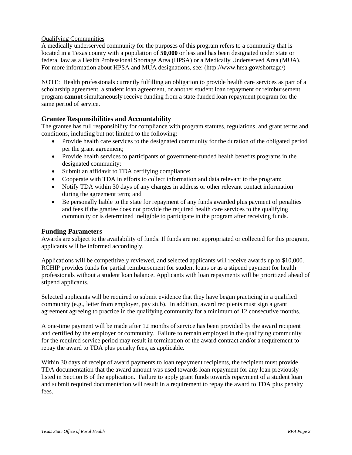#### Qualifying Communities

A medically underserved community for the purposes of this program refers to a community that is located in a Texas county with a population of **50,000** or less and has been designated under state or federal law as a Health Professional Shortage Area (HPSA) or a Medically Underserved Area (MUA). For more information about HPSA and MUA designations, see: (http://www.hrsa.gov/shortage/)

NOTE: Health professionals currently fulfilling an obligation to provide health care services as part of a scholarship agreement, a student loan agreement, or another student loan repayment or reimbursement program **cannot** simultaneously receive funding from a state-funded loan repayment program for the same period of service.

#### <span id="page-3-0"></span>**Grantee Responsibilities and Accountability**

The grantee has full responsibility for compliance with program statutes, regulations, and grant terms and conditions, including but not limited to the following:

- Provide health care services to the designated community for the duration of the obligated period per the grant agreement;
- Provide health services to participants of government-funded health benefits programs in the designated community;
- Submit an affidavit to TDA certifying compliance;
- Cooperate with TDA in efforts to collect information and data relevant to the program;
- Notify TDA within 30 days of any changes in address or other relevant contact information during the agreement term; and
- Be personally liable to the state for repayment of any funds awarded plus payment of penalties and fees if the grantee does not provide the required health care services to the qualifying community or is determined ineligible to participate in the program after receiving funds.

#### <span id="page-3-1"></span>**Funding Parameters**

Awards are subject to the availability of funds. If funds are not appropriated or collected for this program, applicants will be informed accordingly.

Applications will be competitively reviewed, and selected applicants will receive awards up to \$10,000. RCHIP provides funds for partial reimbursement for student loans or as a stipend payment for health professionals without a student loan balance. Applicants with loan repayments will be prioritized ahead of stipend applicants.

Selected applicants will be required to submit evidence that they have begun practicing in a qualified community (e.g., letter from employer, pay stub). In addition, award recipients must sign a grant agreement agreeing to practice in the qualifying community for a minimum of 12 consecutive months.

A one-time payment will be made after 12 months of service has been provided by the award recipient and certified by the employer or community. Failure to remain employed in the qualifying community for the required service period may result in termination of the award contract and/or a requirement to repay the award to TDA plus penalty fees, as applicable.

<span id="page-3-2"></span>Within 30 days of receipt of award payments to loan repayment recipients, the recipient must provide TDA documentation that the award amount was used towards loan repayment for any loan previously listed in Section B of the application. Failure to apply grant funds towards repayment of a student loan and submit required documentation will result in a requirement to repay the award to TDA plus penalty fees.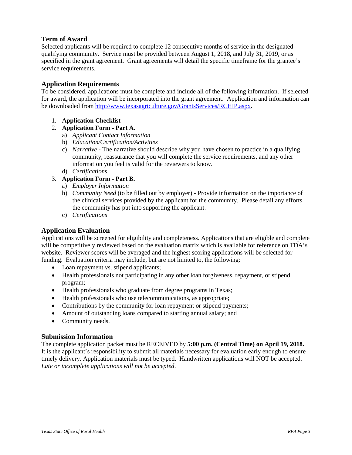#### **Term of Award**

Selected applicants will be required to complete 12 consecutive months of service in the designated qualifying community. Service must be provided between August 1, 2018, and July 31, 2019, or as specified in the grant agreement. Grant agreements will detail the specific timeframe for the grantee's service requirements.

#### <span id="page-4-0"></span>**Application Requirements**

To be considered, applications must be complete and include all of the following information. If selected for award, the application will be incorporated into the grant agreement. Application and information can be downloaded from [http://www.texasagriculture.gov/GrantsServices/RCHIP.aspx.](http://www.texasagriculture.gov/GrantsServices/RCHIP.aspx)

1. **Application Checklist**

#### 2. **Application Form - Part A.**

- a) *Applicant Contact Information*
- b) *Education/Certification/Activities*
- c) *Narrative -* The narrative should describe why you have chosen to practice in a qualifying community, reassurance that you will complete the service requirements, and any other information you feel is valid for the reviewers to know.
- d) *Certifications*

#### 3. **Application Form - Part B.**

- a) *Employer Information*
- b) *Community Need* (to be filled out by employer) *-* Provide information on the importance of the clinical services provided by the applicant for the community. Please detail any efforts the community has put into supporting the applicant.
- c) *Certifications*

#### <span id="page-4-1"></span>**Application Evaluation**

Applications will be screened for eligibility and completeness. Applications that are eligible and complete will be competitively reviewed based on the evaluation matrix which is available for reference on TDA's website. Reviewer scores will be averaged and the highest scoring applications will be selected for funding. Evaluation criteria may include, but are not limited to, the following:

- Loan repayment vs. stipend applicants;
- Health professionals not participating in any other loan forgiveness, repayment, or stipend program;
- Health professionals who graduate from degree programs in Texas;
- Health professionals who use telecommunications, as appropriate;
- Contributions by the community for loan repayment or stipend payments;
- Amount of outstanding loans compared to starting annual salary; and
- Community needs.

#### **Submission Information**

The complete application packet must be RECEIVED by **5:00 p.m. (Central Time) on April 19, 2018.** It is the applicant's responsibility to submit all materials necessary for evaluation early enough to ensure timely delivery. Application materials must be typed. Handwritten applications will NOT be accepted. *Late or incomplete applications will not be accepted*.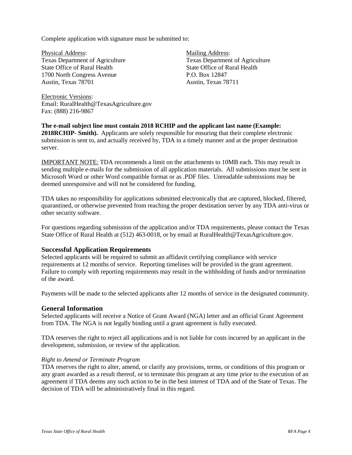Complete application with signature must be submitted to:

Physical Address: Texas Department of Agriculture State Office of Rural Health 1700 North Congress Avenue Austin, Texas 78701

Mailing Address: Texas Department of Agriculture State Office of Rural Health P.O. Box 12847 Austin, Texas 78711

Electronic Versions: Email: RuralHealth@TexasAgriculture.gov Fax: (888) 216-9867

**The e-mail subject line must contain 2018 RCHIP and the applicant last name (Example: 2018RCHIP- Smith).** Applicants are solely responsible for ensuring that their complete electronic submission is sent to, and actually received by, TDA in a timely manner and at the proper destination server.

IMPORTANT NOTE: TDA recommends a limit on the attachments to 10MB each. This may result in sending multiple e-mails for the submission of all application materials. All submissions must be sent in Microsoft Word or other Word compatible format or as .PDF files. Unreadable submissions may be deemed unresponsive and will not be considered for funding.

TDA takes no responsibility for applications submitted electronically that are captured, blocked, filtered, quarantined, or otherwise prevented from reaching the proper destination server by any TDA anti-virus or other security software.

For questions regarding submission of the application and/or TDA requirements, please contact the Texas State Office of Rural Health at (512) 463-0018, or by email at RuralHealth@TexasAgriculture.gov.

#### <span id="page-5-0"></span>**Successful Application Requirements**

Selected applicants will be required to submit an affidavit certifying compliance with service requirements at 12 months of service. Reporting timelines will be provided in the grant agreement. Failure to comply with reporting requirements may result in the withholding of funds and/or termination of the award.

Payments will be made to the selected applicants after 12 months of service in the designated community.

#### <span id="page-5-1"></span>**General Information**

Selected applicants will receive a Notice of Grant Award (NGA) letter and an official Grant Agreement from TDA. The NGA is not legally binding until a grant agreement is fully executed.

TDA reserves the right to reject all applications and is not liable for costs incurred by an applicant in the development, submission, or review of the application.

#### *Right to Amend or Terminate Program*

TDA reserves the right to alter, amend, or clarify any provisions, terms, or conditions of this program or any grant awarded as a result thereof, or to terminate this program at any time prior to the execution of an agreement if TDA deems any such action to be in the best interest of TDA and of the State of Texas. The decision of TDA will be administratively final in this regard.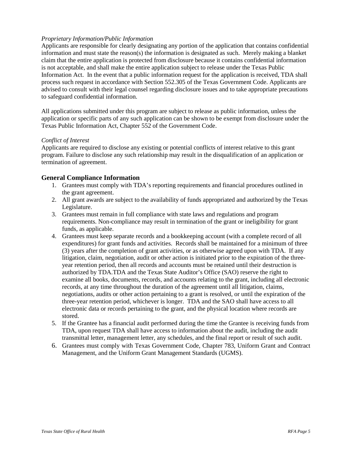#### *Proprietary Information/Public Information*

Applicants are responsible for clearly designating any portion of the application that contains confidential information and must state the reason(s) the information is designated as such. Merely making a blanket claim that the entire application is protected from disclosure because it contains confidential information is not acceptable, and shall make the entire application subject to release under the Texas Public Information Act. In the event that a public information request for the application is received, TDA shall process such request in accordance with Section 552.305 of the Texas Government Code. Applicants are advised to consult with their legal counsel regarding disclosure issues and to take appropriate precautions to safeguard confidential information.

All applications submitted under this program are subject to release as public information, unless the application or specific parts of any such application can be shown to be exempt from disclosure under the Texas Public Information Act, Chapter 552 of the Government Code.

#### *Conflict of Interest*

Applicants are required to disclose any existing or potential conflicts of interest relative to this grant program. Failure to disclose any such relationship may result in the disqualification of an application or termination of agreement.

#### <span id="page-6-0"></span>**General Compliance Information**

- 1. Grantees must comply with TDA's reporting requirements and financial procedures outlined in the grant agreement.
- 2. All grant awards are subject to the availability of funds appropriated and authorized by the Texas Legislature.
- 3. Grantees must remain in full compliance with state laws and regulations and program requirements. Non-compliance may result in termination of the grant or ineligibility for grant funds, as applicable.
- 4. Grantees must keep separate records and a bookkeeping account (with a complete record of all expenditures) for grant funds and activities. Records shall be maintained for a minimum of three (3) years after the completion of grant activities, or as otherwise agreed upon with TDA. If any litigation, claim, negotiation, audit or other action is initiated prior to the expiration of the threeyear retention period, then all records and accounts must be retained until their destruction is authorized by TDA.TDA and the Texas State Auditor's Office (SAO) reserve the right to examine all books, documents, records, and accounts relating to the grant, including all electronic records, at any time throughout the duration of the agreement until all litigation, claims, negotiations, audits or other action pertaining to a grant is resolved, or until the expiration of the three-year retention period, whichever is longer. TDA and the SAO shall have access to all electronic data or records pertaining to the grant, and the physical location where records are stored.
- 5. If the Grantee has a financial audit performed during the time the Grantee is receiving funds from TDA, upon request TDA shall have access to information about the audit, including the audit transmittal letter, management letter, any schedules, and the final report or result of such audit.
- 6. Grantees must comply with Texas Government Code, Chapter 783, Uniform Grant and Contract Management, and the Uniform Grant Management Standards (UGMS).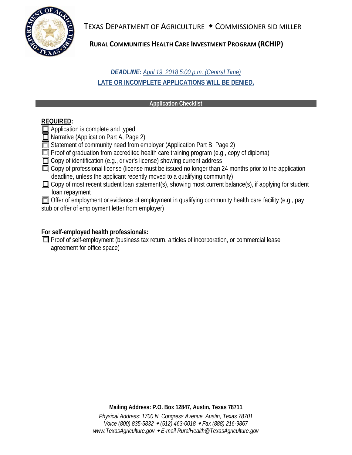

TEXAS DEPARTMENT OF AGRICULTURE • COMMISSIONER SID MILLER

## **RURAL COMMUNITIES HEALTH CARE INVESTMENT PROGRAM (RCHIP)**

## *DEADLINE: April 19, 2018 5:00 p.m. (Central Time)* **LATE OR INCOMPLETE APPLICATIONS WILL BE DENIED.**

#### **Application Checklist**

### **REQUIRED:**

**Application is complete and typed** 

■ Narrative (Application Part A, Page 2)

Statement of community need from employer (Application Part B, Page 2)

- $\Box$  Proof of graduation from accredited health care training program (e.g., copy of diploma)
- Copy of identification (e.g., driver's license) showing current address
- $\Box$  Copy of professional license (license must be issued no longer than 24 months prior to the application deadline, unless the applicant recently moved to a qualifying community)
- $\square$  Copy of most recent student loan statement(s), showing most current balance(s), if applying for student loan repayment

Offer of employment or evidence of employment in qualifying community health care facility (e.g., pay stub or offer of employment letter from employer)

## **For self-employed health professionals:**

**Proof of self-employment (business tax return, articles of incorporation, or commercial lease** agreement for office space)

**Mailing Address: P.O. Box 12847, Austin, Texas 78711**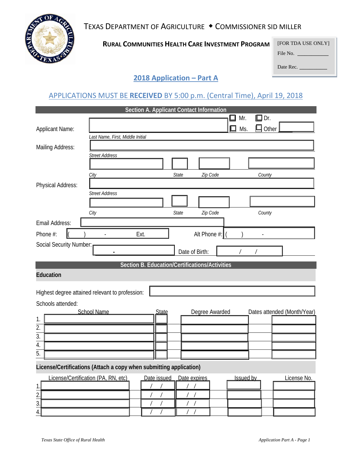TEXAS DEPARTMENT OF AGRICULTURE • COMMISSIONER SID MILLER



**RURAL COMMUNITIES HEALTH CARE INVESTMENT PROGRAM**

Date Rec.

## **2018 Application – Part A**

## APPLICATIONS MUST BE **RECEIVED** BY 5:00 p.m. (Central Time), April 19, 2018

<span id="page-8-1"></span><span id="page-8-0"></span>

|                                                                                                       |                                                 | Section A. Applicant Contact Information       |                |                |          |          |                             |
|-------------------------------------------------------------------------------------------------------|-------------------------------------------------|------------------------------------------------|----------------|----------------|----------|----------|-----------------------------|
|                                                                                                       |                                                 |                                                |                |                | Mr.<br>ப | Dr.<br>口 |                             |
| <b>Applicant Name:</b>                                                                                |                                                 |                                                |                |                | Ms.      | Other    |                             |
|                                                                                                       | Last Name, First, Middle Initial                |                                                |                |                |          |          |                             |
| Mailing Address:                                                                                      |                                                 |                                                |                |                |          |          |                             |
|                                                                                                       | <b>Street Address</b>                           |                                                |                |                |          |          |                             |
|                                                                                                       |                                                 |                                                |                |                |          |          |                             |
|                                                                                                       | City                                            |                                                | State          | Zip Code       |          | County   |                             |
| Physical Address:                                                                                     |                                                 |                                                |                |                |          |          |                             |
|                                                                                                       | <b>Street Address</b>                           |                                                |                |                |          |          |                             |
|                                                                                                       |                                                 |                                                |                |                |          |          |                             |
|                                                                                                       | City                                            |                                                | State          | Zip Code       |          | County   |                             |
| Email Address:                                                                                        |                                                 |                                                |                |                |          |          |                             |
| Phone #:                                                                                              |                                                 | Ext.                                           |                | Alt Phone #:   |          |          |                             |
| Social Security Number:                                                                               |                                                 |                                                |                |                |          |          |                             |
|                                                                                                       |                                                 |                                                | Date of Birth: |                |          |          |                             |
|                                                                                                       |                                                 | Section B. Education/Certifications/Activities |                |                |          |          |                             |
| <b>Education</b>                                                                                      |                                                 |                                                |                |                |          |          |                             |
|                                                                                                       |                                                 |                                                |                |                |          |          |                             |
|                                                                                                       | Highest degree attained relevant to profession: |                                                |                |                |          |          |                             |
| Schools attended:                                                                                     |                                                 |                                                |                |                |          |          |                             |
|                                                                                                       | <b>School Name</b>                              | State                                          |                | Degree Awarded |          |          | Dates attended (Month/Year) |
| 1.                                                                                                    |                                                 |                                                |                |                |          |          |                             |
| $\overline{2}$ .                                                                                      |                                                 |                                                |                |                |          |          |                             |
| $\overline{3}$ .                                                                                      |                                                 |                                                |                |                |          |          |                             |
| 4.<br>$\overline{5}$ .                                                                                |                                                 |                                                |                |                |          |          |                             |
|                                                                                                       |                                                 |                                                |                |                |          |          |                             |
| License/Certifications (Attach a copy when submitting application)                                    |                                                 |                                                |                |                |          |          |                             |
| License/Certification (PA, RN, etc)<br>Date issued<br>Date expires<br><b>Issued by</b><br>License No. |                                                 |                                                |                |                |          |          |                             |
|                                                                                                       |                                                 |                                                | $\frac{1}{2}$  |                |          |          |                             |
| $\frac{1}{2}$<br>$\frac{2}{3}$                                                                        |                                                 |                                                | $\sqrt{2}$     |                |          |          |                             |
|                                                                                                       |                                                 |                                                |                |                |          |          |                             |
| 4.                                                                                                    |                                                 | $\sqrt{2}$                                     | $/$ /          |                |          |          |                             |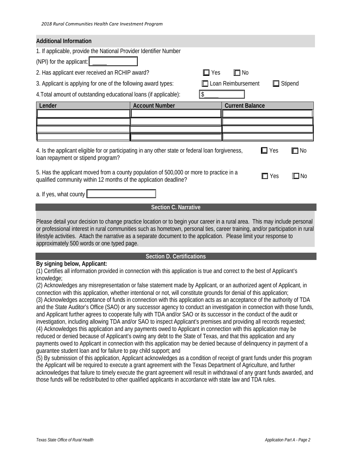| <b>Additional Information</b>                                                                                                                                                           |                       |           |                        |                |  |  |
|-----------------------------------------------------------------------------------------------------------------------------------------------------------------------------------------|-----------------------|-----------|------------------------|----------------|--|--|
| 1. If applicable, provide the National Provider Identifier Number                                                                                                                       |                       |           |                        |                |  |  |
| (NPI) for the applicant:                                                                                                                                                                |                       |           |                        |                |  |  |
| 2. Has applicant ever received an RCHIP award?                                                                                                                                          | Yes                   | $\Box$ No |                        |                |  |  |
| 3. Applicant is applying for one of the following award types:                                                                                                                          |                       |           | Loan Reimbursement     | $\Box$ Stipend |  |  |
| 4. Total amount of outstanding educational loans (if applicable):                                                                                                                       |                       | \$        |                        |                |  |  |
| Lender                                                                                                                                                                                  | <b>Account Number</b> |           | <b>Current Balance</b> |                |  |  |
|                                                                                                                                                                                         |                       |           |                        |                |  |  |
|                                                                                                                                                                                         |                       |           |                        |                |  |  |
|                                                                                                                                                                                         |                       |           |                        |                |  |  |
| 4. Is the applicant eligible for or participating in any other state or federal loan forgiveness,<br>Yes<br>No<br>loan repayment or stipend program?                                    |                       |           |                        |                |  |  |
| 5. Has the applicant moved from a county population of 500,000 or more to practice in a<br>$\Box$ Yes<br>$\Box$ No<br>qualified community within 12 months of the application deadline? |                       |           |                        |                |  |  |
| a. If yes, what county                                                                                                                                                                  |                       |           |                        |                |  |  |
| <b>Section C. Narrative</b>                                                                                                                                                             |                       |           |                        |                |  |  |

<span id="page-9-0"></span>Please detail your decision to change practice location or to begin your career in a rural area. This may include personal or professional interest in rural communities such as hometown, personal ties, career training, and/or participation in rural lifestyle activities. Attach the narrative as a separate document to the application. Please limit your response to approximately 500 words or one typed page.

#### **Section D. Certifications**

#### <span id="page-9-1"></span>**By signing below, Applicant:**

(1) Certifies all information provided in connection with this application is true and correct to the best of Applicant's knowledge;

(2) Acknowledges any misrepresentation or false statement made by Applicant, or an authorized agent of Applicant, in connection with this application, whether intentional or not, will constitute grounds for denial of this application; (3) Acknowledges acceptance of funds in connection with this application acts as an acceptance of the authority of TDA and the State Auditor's Office (SAO) or any successor agency to conduct an investigation in connection with those funds, and Applicant further agrees to cooperate fully with TDA and/or SAO or its successor in the conduct of the audit or investigation, including allowing TDA and/or SAO to inspect Applicant's premises and providing all records requested; (4) Acknowledges this application and any payments owed to Applicant in connection with this application may be reduced or denied because of Applicant's owing any debt to the State of Texas, and that this application and any payments owed to Applicant in connection with this application may be denied because of delinquency in payment of a guarantee student loan and for failure to pay child support; and

(5) By submission of this application, Applicant acknowledges as a condition of receipt of grant funds under this program the Applicant will be required to execute a grant agreement with the Texas Department of Agriculture, and further acknowledges that failure to timely execute the grant agreement will result in withdrawal of any grant funds awarded, and those funds will be redistributed to other qualified applicants in accordance with state law and TDA rules.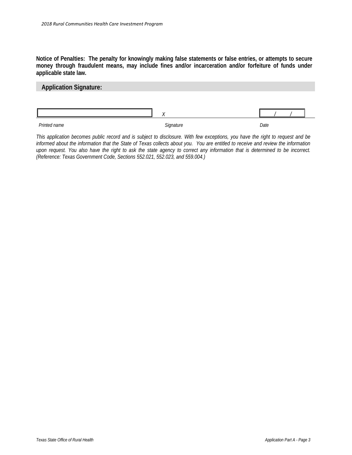**Notice of Penalties: The penalty for knowingly making false statements or false entries, or attempts to secure money through fraudulent means, may include fines and/or incarceration and/or forfeiture of funds under applicable state law.**

#### **Application Signature:**

| Diricht | Cian | Date.<br>$-$ - $-$ |
|---------|------|--------------------|

*This application becomes public record and is subject to disclosure. With few exceptions, you have the right to request and be informed about the information that the State of Texas collects about you. You are entitled to receive and review the information upon request. You also have the right to ask the state agency to correct any information that is determined to be incorrect. (Reference: Texas Government Code, Sections 552.021, 552.023, and 559.004.)*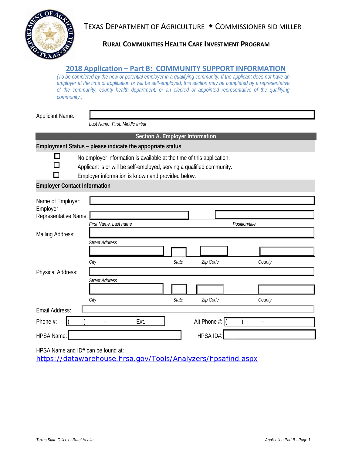TEXAS DEPARTMENT OF AGRICULTURE • COMMISSIONER SID MILLER



## **RURAL COMMUNITIES HEALTH CARE INVESTMENT PROGRAM**

#### **2018 Application – Part B: COMMUNITY SUPPORT INFORMATION**

<span id="page-11-0"></span>*(To be completed by the new or potential employer in a qualifying community. If the applicant does not have an employer at the time of application or will be self-employed, this section may be completed by a representative of the community, county health department, or an elected or appointed representative of the qualifying*   $community.$ )

Applicant Name:

*Last Name, First, Middle Initial*

**Section A. Employer Information**

#### **Employment Status – please indicate the appopriate status**



No employer information is available at the time of this application.

Applicant is or will be self-employed, serving a qualified community.

Employer information is known and provided below.

#### **Employer Contact Information**

| Name of Employer:<br>Employer<br>Representative Name: | First Name, Last name |       |                               | Position/title |
|-------------------------------------------------------|-----------------------|-------|-------------------------------|----------------|
| Mailing Address:                                      |                       |       |                               |                |
|                                                       | <b>Street Address</b> |       |                               |                |
|                                                       | City                  | State | Zip Code                      | County         |
| Physical Address:                                     |                       |       |                               |                |
|                                                       | <b>Street Address</b> |       |                               |                |
|                                                       |                       |       |                               |                |
|                                                       | City                  | State | Zip Code                      | County         |
| Email Address:                                        |                       |       |                               |                |
| Phone #:                                              | Ext.                  |       | Alt Phone $\#$ : $\llbracket$ |                |
| HPSA Name:                                            |                       |       | HPSA ID#:                     |                |

HPSA Name and ID# can be found at:

<https://datawarehouse.hrsa.gov/Tools/Analyzers/hpsafind.aspx>